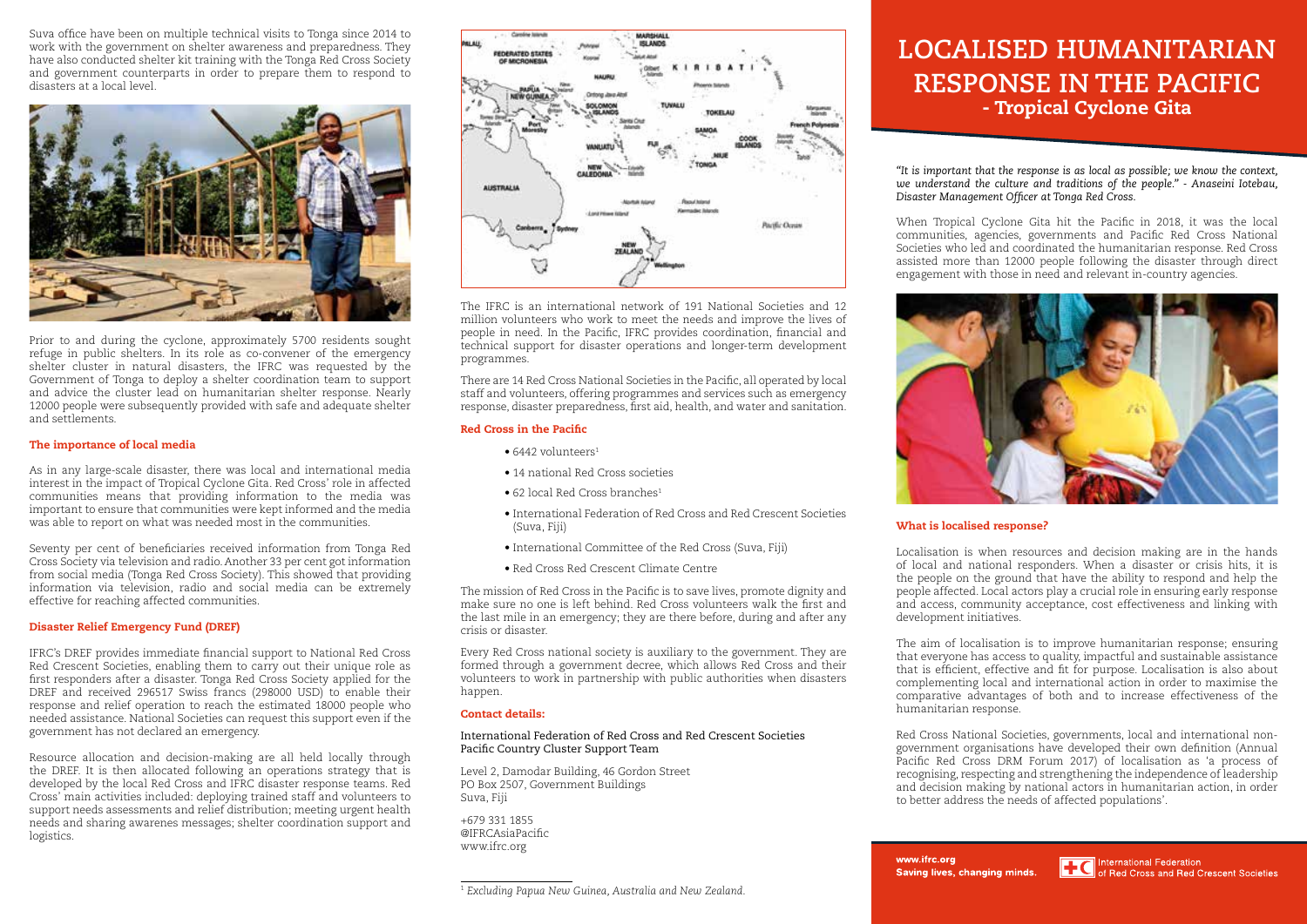Suva office have been on multiple technical visits to Tonga since 2014 to work with the government on shelter awareness and preparedness. They have also conducted shelter kit training with the Tonga Red Cross Society and government counterparts in order to prepare them to respond to disasters at a local level.



Prior to and during the cyclone, approximately 5700 residents sought refuge in public shelters. In its role as co-convener of the emergency shelter cluster in natural disasters, the IFRC was requested by the Government of Tonga to deploy a shelter coordination team to support and advice the cluster lead on humanitarian shelter response. Nearly 12000 people were subsequently provided with safe and adequate shelter and settlements.

# The importance of local media

As in any large-scale disaster, there was local and international media interest in the impact of Tropical Cyclone Gita. Red Cross' role in affected communities means that providing information to the media was important to ensure that communities were kept informed and the media was able to report on what was needed most in the communities.

Seventy per cent of beneficiaries received information from Tonga Red Cross Society via television and radio. Another 33 per cent got information from social media (Tonga Red Cross Society). This showed that providing information via television, radio and social media can be extremely effective for reaching affected communities.

# Disaster Relief Emergency Fund (DREF)

IFRC's DREF provides immediate financial support to National Red Cross Red Crescent Societies, enabling them to carry out their unique role as first responders after a disaster. Tonga Red Cross Society applied for the DREF and received 296517 Swiss francs (298000 USD) to enable their response and relief operation to reach the estimated 18000 people who needed assistance. National Societies can request this support even if the government has not declared an emergency.

Resource allocation and decision-making are all held locally through the DREF. It is then allocated following an operations strategy that is developed by the local Red Cross and IFRC disaster response teams. Red Cross' main activities included: deploying trained staff and volunteers to support needs assessments and relief distribution; meeting urgent health needs and sharing awarenes messages; shelter coordination support and logistics.



The IFRC is an international network of 191 National Societies and 12 million volunteers who work to meet the needs and improve the lives of people in need. In the Pacific, IFRC provides coordination, financial and technical support for disaster operations and longer-term development programmes.

There are 14 Red Cross National Societies in the Pacific, all operated by local staff and volunteers, offering programmes and services such as emergency response, disaster preparedness, first aid, health, and water and sanitation.

# Red Cross in the Pacific

- 6442 volunteers<sup>1</sup>
- 14 national Red Cross societies
- 62 local Red Cross branches<sup>1</sup>
- International Federation of Red Cross and Red Crescent Societies (Suva, Fiji)
- International Committee of the Red Cross (Suva, Fiji)
- Red Cross Red Crescent Climate Centre

The mission of Red Cross in the Pacific is to save lives, promote dignity and make sure no one is left behind. Red Cross volunteers walk the first and the last mile in an emergency; they are there before, during and after any crisis or disaster.

Every Red Cross national society is auxiliary to the government. They are formed through a government decree, which allows Red Cross and their volunteers to work in partnership with public authorities when disasters happen.

### Contact details:

## International Federation of Red Cross and Red Crescent Societies Pacific Country Cluster Support Team

Level 2, Damodar Building, 46 Gordon Street PO Box 2507, Government Buildings Suva, Fiji

+679 331 1855 @IFRCAsiaPacific www.ifrc.org

<sup>1</sup> *Excluding Papua New Guinea, Australia and New Zealand.*

# **LOCALISED HUMANITARIAN RESPONSE IN THE PACIFIC** - Tropical Cyclone Gita

*"It is important that the response is as local as possible; we know the context,*  we understand the culture and traditions of the people." - Anaseini Iotebau, *Disaster Management Officer at Tonga Red Cross.* 

When Tropical Cyclone Gita hit the Pacific in 2018, it was the local communities, agencies, governments and Pacific Red Cross National Societies who led and coordinated the humanitarian response. Red Cross assisted more than 12000 people following the disaster through direct engagement with those in need and relevant in-country agencies.



# What is localised response?

Localisation is when resources and decision making are in the hands of local and national responders. When a disaster or crisis hits, it is the people on the ground that have the ability to respond and help the people affected. Local actors play a crucial role in ensuring early response and access, community acceptance, cost effectiveness and linking with development initiatives.

The aim of localisation is to improve humanitarian response; ensuring that everyone has access to quality, impactful and sustainable assistance that is efficient, effective and fit for purpose. Localisation is also about complementing local and international action in order to maximise the comparative advantages of both and to increase effectiveness of the humanitarian response.

Red Cross National Societies, governments, local and international nongovernment organisations have developed their own definition (Annual Pacific Red Cross DRM Forum 2017) of localisation as 'a process of recognising, respecting and strengthening the independence of leadership and decision making by national actors in humanitarian action, in order to better address the needs of affected populations'.

www.ifrc.org Saving lives, changing minds.